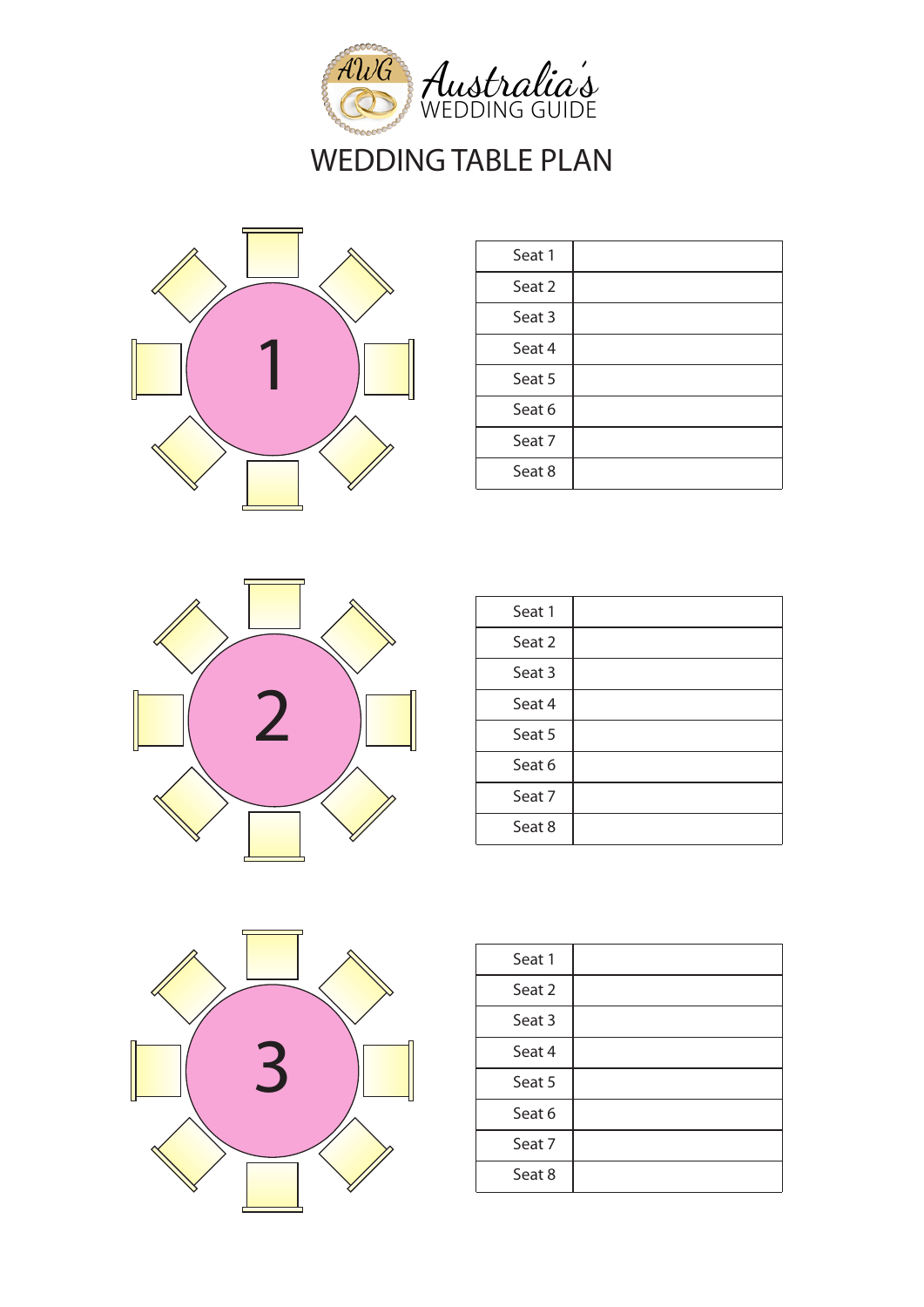



| Seat 1 |  |
|--------|--|
| Seat 2 |  |
| Seat 3 |  |
| Seat 4 |  |
| Seat 5 |  |
| Seat 6 |  |
| Seat 7 |  |
| Seat 8 |  |



| Seat 1 |  |
|--------|--|
| Seat 2 |  |
| Seat 3 |  |
| Seat 4 |  |
| Seat 5 |  |
| Seat 6 |  |
| Seat 7 |  |
| Seat 8 |  |
|        |  |



| Seat 1 |  |
|--------|--|
| Seat 2 |  |
| Seat 3 |  |
| Seat 4 |  |
| Seat 5 |  |
| Seat 6 |  |
| Seat 7 |  |
| Seat 8 |  |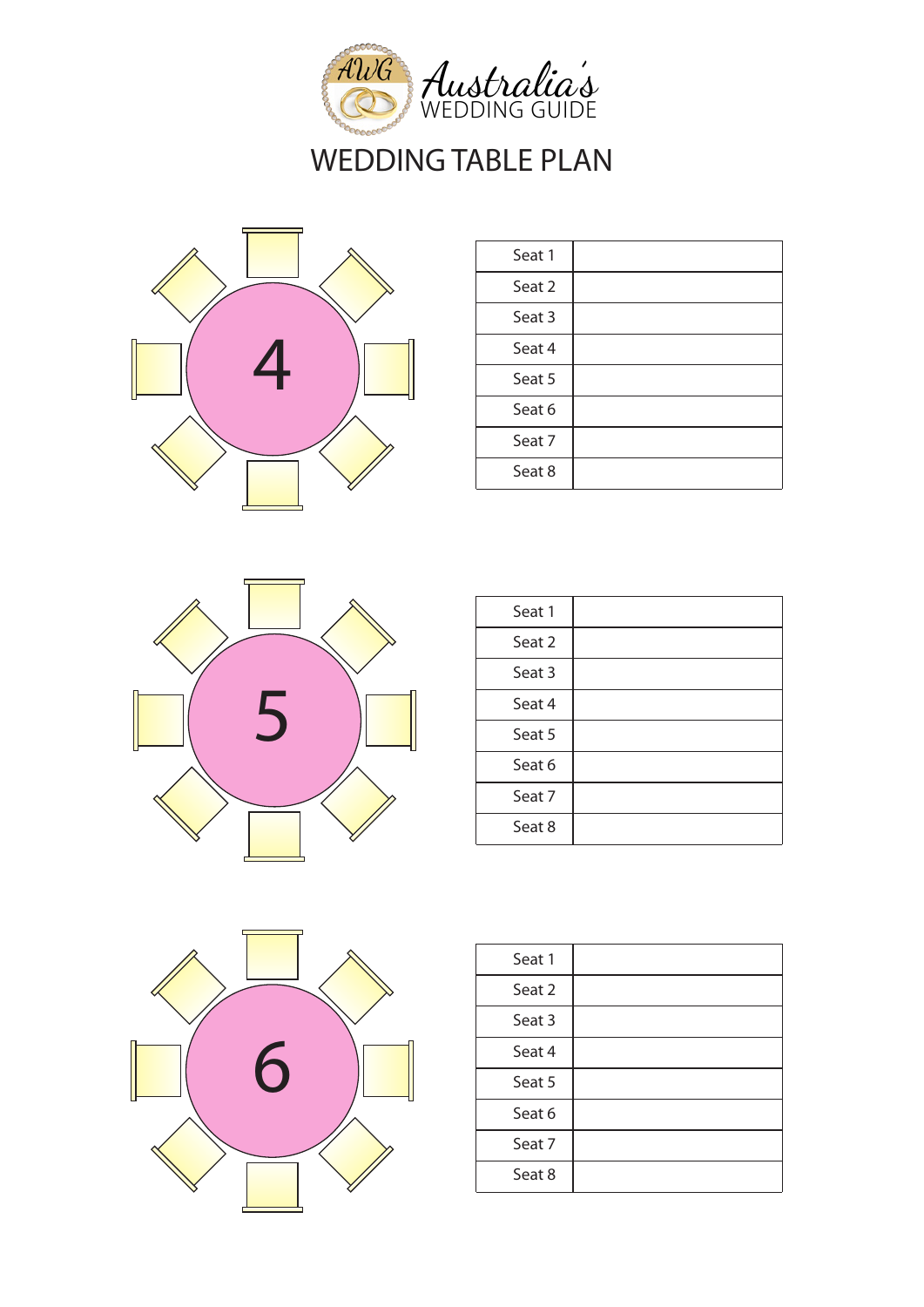





| Seat 1 |  |
|--------|--|
| Seat 2 |  |
| Seat 3 |  |
| Seat 4 |  |
| Seat 5 |  |
| Seat 6 |  |
| Seat 7 |  |
| Seat 8 |  |
|        |  |



| Seat 1 |  |
|--------|--|
| Seat 2 |  |
| Seat 3 |  |
| Seat 4 |  |
| Seat 5 |  |
| Seat 6 |  |
| Seat 7 |  |
| Seat 8 |  |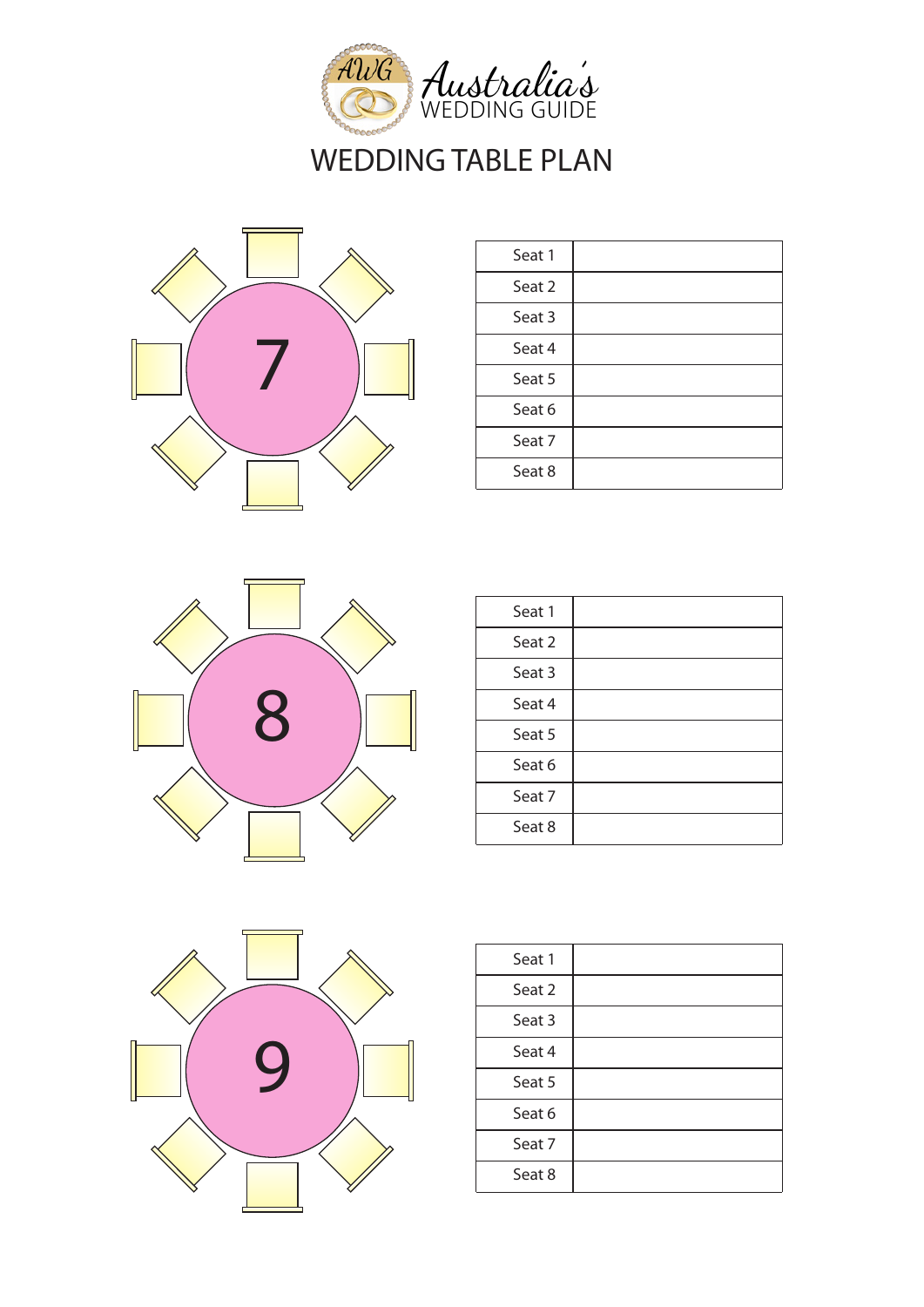



| Seat 1 |  |
|--------|--|
| Seat 2 |  |
| Seat 3 |  |
| Seat 4 |  |
| Seat 5 |  |
| Seat 6 |  |
| Seat 7 |  |
| Seat 8 |  |



| Seat 1 |  |
|--------|--|
| Seat 2 |  |
| Seat 3 |  |
| Seat 4 |  |
| Seat 5 |  |
| Seat 6 |  |
| Seat 7 |  |
| Seat 8 |  |
|        |  |



| Seat 1 |  |
|--------|--|
| Seat 2 |  |
| Seat 3 |  |
| Seat 4 |  |
| Seat 5 |  |
| Seat 6 |  |
| Seat 7 |  |
| Seat 8 |  |